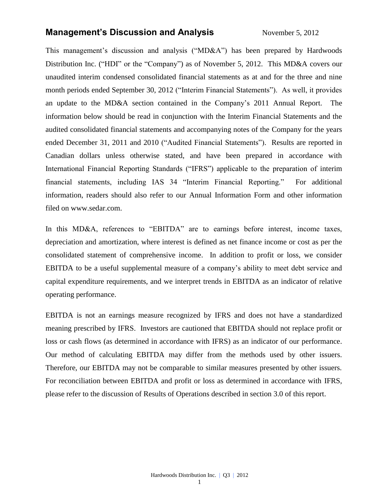### **Management's Discussion and Analysis** November 5, 2012

This management's discussion and analysis ("MD&A") has been prepared by Hardwoods Distribution Inc. ("HDI" or the "Company") as of November 5, 2012. This MD&A covers our unaudited interim condensed consolidated financial statements as at and for the three and nine month periods ended September 30, 2012 ("Interim Financial Statements"). As well, it provides an update to the MD&A section contained in the Company's 2011 Annual Report. The information below should be read in conjunction with the Interim Financial Statements and the audited consolidated financial statements and accompanying notes of the Company for the years ended December 31, 2011 and 2010 ("Audited Financial Statements"). Results are reported in Canadian dollars unless otherwise stated, and have been prepared in accordance with International Financial Reporting Standards ("IFRS") applicable to the preparation of interim financial statements, including IAS 34 "Interim Financial Reporting." For additional information, readers should also refer to our Annual Information Form and other information filed on [www.sedar.com.](http://www.sedar.com/)

In this MD&A, references to "EBITDA" are to earnings before interest, income taxes, depreciation and amortization, where interest is defined as net finance income or cost as per the consolidated statement of comprehensive income. In addition to profit or loss, we consider EBITDA to be a useful supplemental measure of a company's ability to meet debt service and capital expenditure requirements, and we interpret trends in EBITDA as an indicator of relative operating performance.

EBITDA is not an earnings measure recognized by IFRS and does not have a standardized meaning prescribed by IFRS. Investors are cautioned that EBITDA should not replace profit or loss or cash flows (as determined in accordance with IFRS) as an indicator of our performance. Our method of calculating EBITDA may differ from the methods used by other issuers. Therefore, our EBITDA may not be comparable to similar measures presented by other issuers. For reconciliation between EBITDA and profit or loss as determined in accordance with IFRS, please refer to the discussion of Results of Operations described in section 3.0 of this report.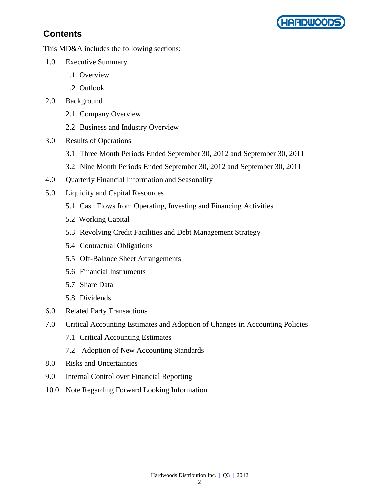

## **Contents**

This MD&A includes the following sections:

- 1.0 Executive Summary
	- 1.1 Overview
	- 1.2 Outlook
- 2.0 Background
	- 2.1 Company Overview
	- 2.2 Business and Industry Overview
- 3.0 Results of Operations
	- 3.1 Three Month Periods Ended September 30, 2012 and September 30, 2011
	- 3.2 Nine Month Periods Ended September 30, 2012 and September 30, 2011
- 4.0 Quarterly Financial Information and Seasonality
- 5.0 Liquidity and Capital Resources
	- 5.1 Cash Flows from Operating, Investing and Financing Activities
	- 5.2 Working Capital
	- 5.3 Revolving Credit Facilities and Debt Management Strategy
	- 5.4 Contractual Obligations
	- 5.5 Off-Balance Sheet Arrangements
	- 5.6 Financial Instruments
	- 5.7 Share Data
	- 5.8 Dividends
- 6.0 Related Party Transactions
- 7.0 Critical Accounting Estimates and Adoption of Changes in Accounting Policies
	- 7.1 Critical Accounting Estimates
	- 7.2 Adoption of New Accounting Standards
- 8.0 Risks and Uncertainties
- 9.0 Internal Control over Financial Reporting
- 10.0 Note Regarding Forward Looking Information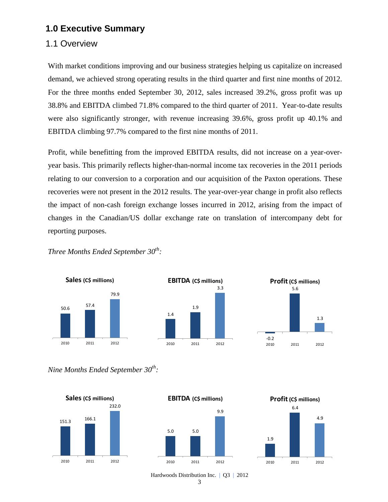## **1.0 Executive Summary**

### 1.1 Overview

With market conditions improving and our business strategies helping us capitalize on increased demand, we achieved strong operating results in the third quarter and first nine months of 2012. For the three months ended September 30, 2012, sales increased 39.2%, gross profit was up 38.8% and EBITDA climbed 71.8% compared to the third quarter of 2011. Year-to-date results were also significantly stronger, with revenue increasing 39.6%, gross profit up 40.1% and EBITDA climbing 97.7% compared to the first nine months of 2011.

Profit, while benefitting from the improved EBITDA results, did not increase on a year-overyear basis. This primarily reflects higher-than-normal income tax recoveries in the 2011 periods relating to our conversion to a corporation and our acquisition of the Paxton operations. These recoveries were not present in the 2012 results. The year-over-year change in profit also reflects the impact of non-cash foreign exchange losses incurred in 2012, arising from the impact of changes in the Canadian/US dollar exchange rate on translation of intercompany debt for reporting purposes.

1.9

**EBITDA (C\$ millions)**

2010 2011 2012

3.3

 $-0.2$ <br>2010

5.6

**Profit (C\$ millions)**

1.3

2010 2011 2012

50.6 57.4 79.9 2010 2011 2012 **Sales (C\$ millions)**

*Three Months Ended September 30th :*





1.4

Hardwoods Distribution Inc. | Q3 | 2012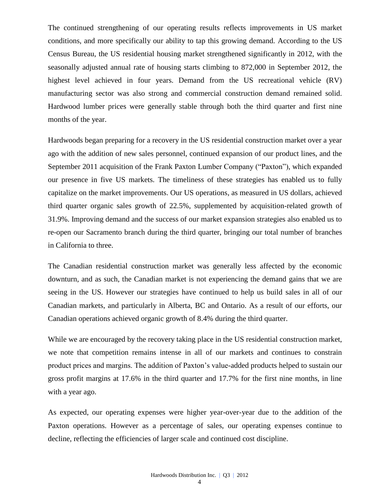The continued strengthening of our operating results reflects improvements in US market conditions, and more specifically our ability to tap this growing demand. According to the US Census Bureau, the US residential housing market strengthened significantly in 2012, with the seasonally adjusted annual rate of housing starts climbing to 872,000 in September 2012, the highest level achieved in four years. Demand from the US recreational vehicle (RV) manufacturing sector was also strong and commercial construction demand remained solid. Hardwood lumber prices were generally stable through both the third quarter and first nine months of the year.

Hardwoods began preparing for a recovery in the US residential construction market over a year ago with the addition of new sales personnel, continued expansion of our product lines, and the September 2011 acquisition of the Frank Paxton Lumber Company ("Paxton"), which expanded our presence in five US markets. The timeliness of these strategies has enabled us to fully capitalize on the market improvements. Our US operations, as measured in US dollars, achieved third quarter organic sales growth of 22.5%, supplemented by acquisition-related growth of 31.9%. Improving demand and the success of our market expansion strategies also enabled us to re-open our Sacramento branch during the third quarter, bringing our total number of branches in California to three.

The Canadian residential construction market was generally less affected by the economic downturn, and as such, the Canadian market is not experiencing the demand gains that we are seeing in the US. However our strategies have continued to help us build sales in all of our Canadian markets, and particularly in Alberta, BC and Ontario. As a result of our efforts, our Canadian operations achieved organic growth of 8.4% during the third quarter.

While we are encouraged by the recovery taking place in the US residential construction market, we note that competition remains intense in all of our markets and continues to constrain product prices and margins. The addition of Paxton's value-added products helped to sustain our gross profit margins at 17.6% in the third quarter and 17.7% for the first nine months, in line with a year ago.

As expected, our operating expenses were higher year-over-year due to the addition of the Paxton operations. However as a percentage of sales, our operating expenses continue to decline, reflecting the efficiencies of larger scale and continued cost discipline.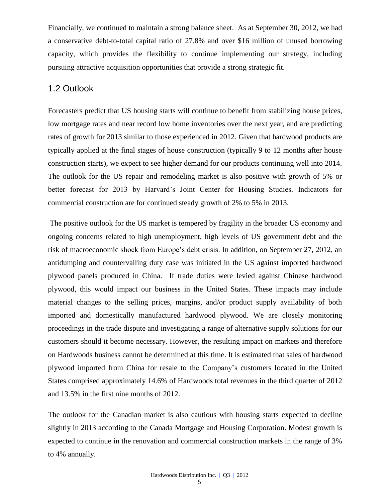Financially, we continued to maintain a strong balance sheet. As at September 30, 2012, we had a conservative debt-to-total capital ratio of 27.8% and over \$16 million of unused borrowing capacity, which provides the flexibility to continue implementing our strategy, including pursuing attractive acquisition opportunities that provide a strong strategic fit.

### 1.2 Outlook

Forecasters predict that US housing starts will continue to benefit from stabilizing house prices, low mortgage rates and near record low home inventories over the next year, and are predicting rates of growth for 2013 similar to those experienced in 2012. Given that hardwood products are typically applied at the final stages of house construction (typically 9 to 12 months after house construction starts), we expect to see higher demand for our products continuing well into 2014. The outlook for the US repair and remodeling market is also positive with growth of 5% or better forecast for 2013 by Harvard's Joint Center for Housing Studies. Indicators for commercial construction are for continued steady growth of 2% to 5% in 2013.

The positive outlook for the US market is tempered by fragility in the broader US economy and ongoing concerns related to high unemployment, high levels of US government debt and the risk of macroeconomic shock from Europe's debt crisis. In addition, on September 27, 2012, an antidumping and countervailing duty case was initiated in the US against imported hardwood plywood panels produced in China. If trade duties were levied against Chinese hardwood plywood, this would impact our business in the United States. These impacts may include material changes to the selling prices, margins, and/or product supply availability of both imported and domestically manufactured hardwood plywood. We are closely monitoring proceedings in the trade dispute and investigating a range of alternative supply solutions for our customers should it become necessary. However, the resulting impact on markets and therefore on Hardwoods business cannot be determined at this time. It is estimated that sales of hardwood plywood imported from China for resale to the Company's customers located in the United States comprised approximately 14.6% of Hardwoods total revenues in the third quarter of 2012 and 13.5% in the first nine months of 2012.

The outlook for the Canadian market is also cautious with housing starts expected to decline slightly in 2013 according to the Canada Mortgage and Housing Corporation. Modest growth is expected to continue in the renovation and commercial construction markets in the range of 3% to 4% annually.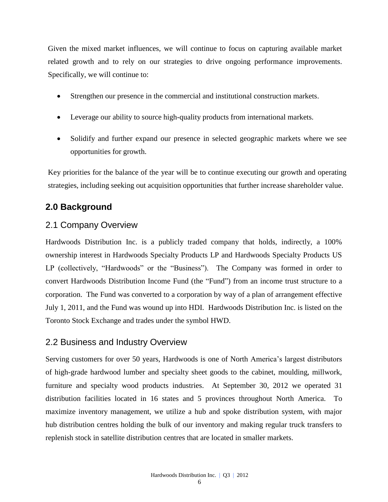Given the mixed market influences, we will continue to focus on capturing available market related growth and to rely on our strategies to drive ongoing performance improvements. Specifically, we will continue to:

- Strengthen our presence in the commercial and institutional construction markets.
- Leverage our ability to source high-quality products from international markets.
- Solidify and further expand our presence in selected geographic markets where we see opportunities for growth.

Key priorities for the balance of the year will be to continue executing our growth and operating strategies, including seeking out acquisition opportunities that further increase shareholder value.

## **2.0 Background**

### 2.1 Company Overview

Hardwoods Distribution Inc. is a publicly traded company that holds, indirectly, a 100% ownership interest in Hardwoods Specialty Products LP and Hardwoods Specialty Products US LP (collectively, "Hardwoods" or the "Business"). The Company was formed in order to convert Hardwoods Distribution Income Fund (the "Fund") from an income trust structure to a corporation. The Fund was converted to a corporation by way of a plan of arrangement effective July 1, 2011, and the Fund was wound up into HDI. Hardwoods Distribution Inc. is listed on the [Toronto Stock Exchange and trades under the symbol](http://tmx.quotemedia.com/quote.php?qm_symbol=TPK&locale=EN) HWD.

## 2.2 Business and Industry Overview

Serving customers for over 50 years, Hardwoods is one of North America's largest distributors of high-grade hardwood lumber and specialty sheet goods to the cabinet, moulding, millwork, furniture and specialty wood products industries. At September 30, 2012 we operated 31 distribution facilities located in 16 states and 5 provinces throughout North America. To maximize inventory management, we utilize a hub and spoke distribution system, with major hub distribution centres holding the bulk of our inventory and making regular truck transfers to replenish stock in satellite distribution centres that are located in smaller markets.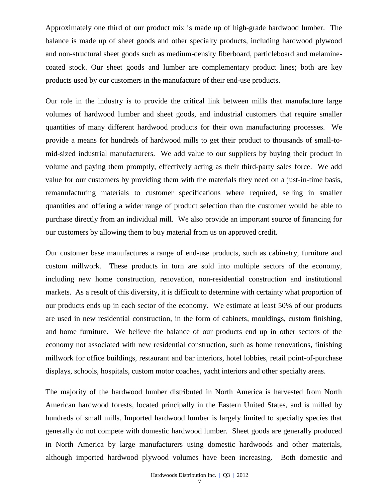Approximately one third of our product mix is made up of high-grade hardwood lumber. The balance is made up of sheet goods and other specialty products, including hardwood plywood and non-structural sheet goods such as medium-density fiberboard, particleboard and melaminecoated stock. Our sheet goods and lumber are complementary product lines; both are key products used by our customers in the manufacture of their end-use products.

Our role in the industry is to provide the critical link between mills that manufacture large volumes of hardwood lumber and sheet goods, and industrial customers that require smaller quantities of many different hardwood products for their own manufacturing processes. We provide a means for hundreds of hardwood mills to get their product to thousands of small-tomid-sized industrial manufacturers. We add value to our suppliers by buying their product in volume and paying them promptly, effectively acting as their third-party sales force. We add value for our customers by providing them with the materials they need on a just-in-time basis, remanufacturing materials to customer specifications where required, selling in smaller quantities and offering a wider range of product selection than the customer would be able to purchase directly from an individual mill. We also provide an important source of financing for our customers by allowing them to buy material from us on approved credit.

Our customer base manufactures a range of end-use products, such as cabinetry, furniture and custom millwork. These products in turn are sold into multiple sectors of the economy, including new home construction, renovation, non-residential construction and institutional markets. As a result of this diversity, it is difficult to determine with certainty what proportion of our products ends up in each sector of the economy. We estimate at least 50% of our products are used in new residential construction, in the form of cabinets, mouldings, custom finishing, and home furniture. We believe the balance of our products end up in other sectors of the economy not associated with new residential construction, such as home renovations, finishing millwork for office buildings, restaurant and bar interiors, hotel lobbies, retail point-of-purchase displays, schools, hospitals, custom motor coaches, yacht interiors and other specialty areas.

The majority of the hardwood lumber distributed in North America is harvested from North American hardwood forests, located principally in the Eastern United States, and is milled by hundreds of small mills. Imported hardwood lumber is largely limited to specialty species that generally do not compete with domestic hardwood lumber. Sheet goods are generally produced in North America by large manufacturers using domestic hardwoods and other materials, although imported hardwood plywood volumes have been increasing. Both domestic and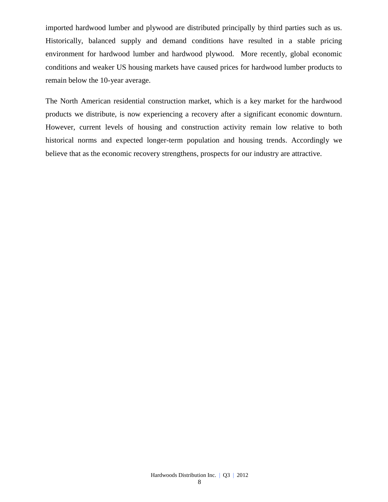imported hardwood lumber and plywood are distributed principally by third parties such as us. Historically, balanced supply and demand conditions have resulted in a stable pricing environment for hardwood lumber and hardwood plywood. More recently, global economic conditions and weaker US housing markets have caused prices for hardwood lumber products to remain below the 10-year average.

The North American residential construction market, which is a key market for the hardwood products we distribute, is now experiencing a recovery after a significant economic downturn. However, current levels of housing and construction activity remain low relative to both historical norms and expected longer-term population and housing trends. Accordingly we believe that as the economic recovery strengthens, prospects for our industry are attractive.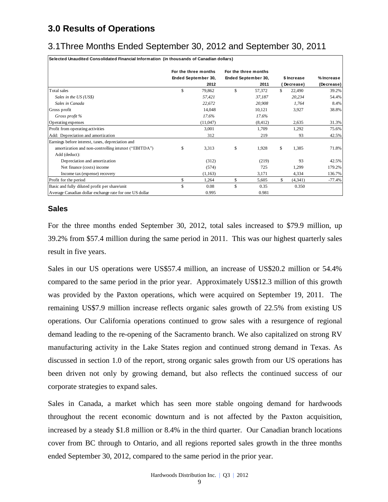## **3.0 Results of Operations**

# 3.1Three Months Ended September 30, 2012 and September 30, 2011

Severed Unaudited Consolidated Financial biories after the biories of Canadia September 30, 2012, and the prior of Canadia and the same period in the biories of Consolidated Consolidates of Consolidates and the prior of Ca **\$ Increase % Increase 2012 2011 ( Decrease) (Decrease)** Total sales 6 19.862 57,372 5 22,490 39.2% *Sales in the US (US\$) 57,421 37,187 20,234* 54.4% *Sales in Canada 22,672 20,908 1,764* 8.4% Gross profit 3,927 38.8% *Gross profit % 17.6% 17.6%* Operating expenses 31.3% (11,047) (8,412) 2,635 31.3% Profit from operating activities 3,001 1,709 1,292 75.6% 312 219 93 42.5% amortization and non-controlling interest ("EBITDA")  $\qquad$  \$ 3,313 \$ 1,928 \$ 1,385 71.8% Add (deduct): Depreciation and amortization (312) (219) 93 42.5% Net finance (costs) income (574) 725 1,299 179.2% Income tax (expense) recovery (1,163) 3,171 4,334 136.7% Profit for the period  $\frac{1}{264}$   $\frac{1}{264}$   $\frac{5}{605}$   $\frac{5}{8}$   $\frac{(4,341)}{1714\%}$   $\frac{-77.4\%}{1714\%}$ Basic and fully diluted profit per share/unit  $\qquad$  \$ 0.08 \$ 0.35 0.350 0.350 Average Canadian dollar exchange rate for one US dollar 0.995 0.995 0.981 Earnings before interest, taxes, depreciation and **For the three months For the three months Ended September 30, Ended September 30,** Add: Depreciation and amortization

#### **Sales**

For the three months ended September 30, 2012, total sales increased to \$79.9 million, up 39.2% from \$57.4 million during the same period in 2011. This was our highest quarterly sales result in five years.

Sales in our US operations were US\$57.4 million, an increase of US\$20.2 million or 54.4% compared to the same period in the prior year. Approximately US\$12.3 million of this growth was provided by the Paxton operations, which were acquired on September 19, 2011. The remaining US\$7.9 million increase reflects organic sales growth of 22.5% from existing US operations. Our California operations continued to grow sales with a resurgence of regional demand leading to the re-opening of the Sacramento branch. We also capitalized on strong RV manufacturing activity in the Lake States region and continued strong demand in Texas. As discussed in section 1.0 of the report, strong organic sales growth from our US operations has been driven not only by growing demand, but also reflects the continued success of our corporate strategies to expand sales.

Sales in Canada, a market which has seen more stable ongoing demand for hardwoods throughout the recent economic downturn and is not affected by the Paxton acquisition, increased by a steady \$1.8 million or 8.4% in the third quarter. Our Canadian branch locations cover from BC through to Ontario, and all regions reported sales growth in the three months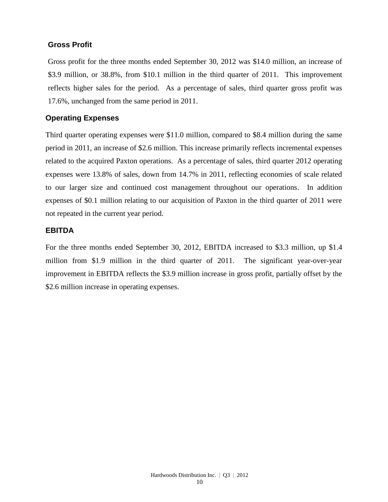### **Gross Profit**

Gross profit for the three months ended September 30, 2012 was \$14.0 million, an increase of \$3.9 million, or 38.8%, from \$10.1 million in the third quarter of 2011. This improvement reflects higher sales for the period. As a percentage of sales, third quarter gross profit was 17.6%, unchanged from the same period in 2011.

### **Operating Expenses**

Third quarter operating expenses were \$11.0 million, compared to \$8.4 million during the same period in 2011, an increase of \$2.6 million. This increase primarily reflects incremental expenses related to the acquired Paxton operations. As a percentage of sales, third quarter 2012 operating expenses were 13.8% of sales, down from 14.7% in 2011, reflecting economies of scale related to our larger size and continued cost management throughout our operations. In addition expenses of \$0.1 million relating to our acquisition of Paxton in the third quarter of 2011 were not repeated in the current year period.

### **EBITDA**

For the three months ended September 30, 2012, EBITDA increased to \$3.3 million, up \$1.4 million from \$1.9 million in the third quarter of 2011. The significant year-over-year improvement in EBITDA reflects the \$3.9 million increase in gross profit, partially offset by the \$2.6 million increase in operating expenses.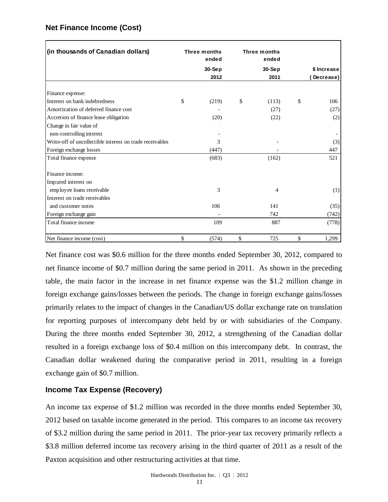| (in thousands of Canadian dollars)                                                                                                                                                                                                                                                                                                                                                                                                                                                                                                                                                                                                                                                                                            | Three months<br>ended | Three months<br>ended |                           |
|-------------------------------------------------------------------------------------------------------------------------------------------------------------------------------------------------------------------------------------------------------------------------------------------------------------------------------------------------------------------------------------------------------------------------------------------------------------------------------------------------------------------------------------------------------------------------------------------------------------------------------------------------------------------------------------------------------------------------------|-----------------------|-----------------------|---------------------------|
|                                                                                                                                                                                                                                                                                                                                                                                                                                                                                                                                                                                                                                                                                                                               | $30-Sep$<br>2012      | 30-Sep<br>2011        | \$ Increase<br>(Decrease) |
| Finance expense:                                                                                                                                                                                                                                                                                                                                                                                                                                                                                                                                                                                                                                                                                                              |                       |                       |                           |
| Interest on bank indebtedness                                                                                                                                                                                                                                                                                                                                                                                                                                                                                                                                                                                                                                                                                                 | \$<br>(219)           | \$<br>(113)           | \$<br>106                 |
| Amortization of deferred finance cost                                                                                                                                                                                                                                                                                                                                                                                                                                                                                                                                                                                                                                                                                         |                       | (27)                  | (27)                      |
| Accretion of finance lease obligation                                                                                                                                                                                                                                                                                                                                                                                                                                                                                                                                                                                                                                                                                         | (20)                  | (22)                  | (2)                       |
| Change in fair value of                                                                                                                                                                                                                                                                                                                                                                                                                                                                                                                                                                                                                                                                                                       |                       |                       |                           |
| non-controlling interest                                                                                                                                                                                                                                                                                                                                                                                                                                                                                                                                                                                                                                                                                                      |                       |                       |                           |
| Write-off of uncollectible interest on trade receivables                                                                                                                                                                                                                                                                                                                                                                                                                                                                                                                                                                                                                                                                      | 3                     |                       | (3)                       |
| Foreign exchange losses                                                                                                                                                                                                                                                                                                                                                                                                                                                                                                                                                                                                                                                                                                       | (447)                 |                       | 447                       |
| Total finance expense                                                                                                                                                                                                                                                                                                                                                                                                                                                                                                                                                                                                                                                                                                         | (683)                 | (162)                 | 521                       |
| Finance income:                                                                                                                                                                                                                                                                                                                                                                                                                                                                                                                                                                                                                                                                                                               |                       |                       |                           |
| Imputed interest on                                                                                                                                                                                                                                                                                                                                                                                                                                                                                                                                                                                                                                                                                                           |                       |                       |                           |
| employee loans receivable                                                                                                                                                                                                                                                                                                                                                                                                                                                                                                                                                                                                                                                                                                     | 3                     | 4                     | (1)                       |
| Interest on trade receivables                                                                                                                                                                                                                                                                                                                                                                                                                                                                                                                                                                                                                                                                                                 |                       |                       |                           |
| and customer notes                                                                                                                                                                                                                                                                                                                                                                                                                                                                                                                                                                                                                                                                                                            | 106                   | 141                   | (35)                      |
| Foreign exchange gain                                                                                                                                                                                                                                                                                                                                                                                                                                                                                                                                                                                                                                                                                                         |                       | 742                   | (742)                     |
| Total finance income                                                                                                                                                                                                                                                                                                                                                                                                                                                                                                                                                                                                                                                                                                          | 109                   | 887                   | (778)                     |
| Net finance income (cost)                                                                                                                                                                                                                                                                                                                                                                                                                                                                                                                                                                                                                                                                                                     | \$<br>(574)           | \$<br>725             | \$<br>1,299               |
| table, the main factor in the increase in net finance expense was the \$1.2 million change in<br>foreign exchange gains/losses between the periods. The change in foreign exchange gains/losses<br>primarily relates to the impact of changes in the Canadian/US dollar exchange rate on translation<br>for reporting purposes of intercompany debt held by or with subsidiaries of the Company.<br>During the three months ended September 30, 2012, a strengthening of the Canadian dollar<br>resulted in a foreign exchange loss of \$0.4 million on this intercompany debt. In contrast, the<br>Canadian dollar weakened during the comparative period in 2011, resulting in a foreign<br>exchange gain of \$0.7 million. |                       |                       |                           |
| <b>Income Tax Expense (Recovery)</b>                                                                                                                                                                                                                                                                                                                                                                                                                                                                                                                                                                                                                                                                                          |                       |                       |                           |
|                                                                                                                                                                                                                                                                                                                                                                                                                                                                                                                                                                                                                                                                                                                               |                       |                       |                           |
| An income tax expense of \$1.2 million was recorded in the three months ended September 30,                                                                                                                                                                                                                                                                                                                                                                                                                                                                                                                                                                                                                                   |                       |                       |                           |
| 2012 based on taxable income generated in the period. This compares to an income tax recovery                                                                                                                                                                                                                                                                                                                                                                                                                                                                                                                                                                                                                                 |                       |                       |                           |
| of \$3.2 million during the same period in 2011. The prior-year tax recovery primarily reflects a                                                                                                                                                                                                                                                                                                                                                                                                                                                                                                                                                                                                                             |                       |                       |                           |
| \$3.8 million deferred income tax recovery arising in the third quarter of 2011 as a result of the                                                                                                                                                                                                                                                                                                                                                                                                                                                                                                                                                                                                                            |                       |                       |                           |
| Paxton acquisition and other restructuring activities at that time.                                                                                                                                                                                                                                                                                                                                                                                                                                                                                                                                                                                                                                                           |                       |                       |                           |

### **Net Finance Income (Cost)**

### **Income Tax Expense (Recovery)**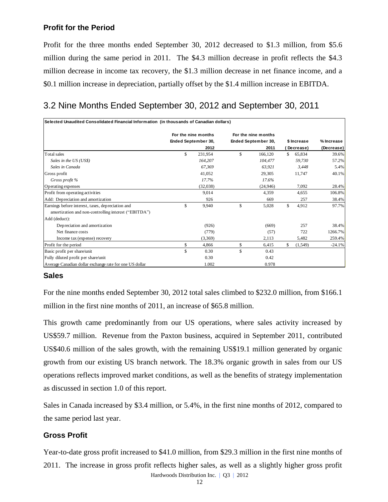### **Profit for the Period**

Profit for the three months ended September 30, 2012 decreased to \$1.3 million, from \$5.6 million during the same period in 2011. The \$4.3 million decrease in profit reflects the \$4.3 million decrease in income tax recovery, the \$1.3 million decrease in net finance income, and a \$0.1 million increase in depreciation, partially offset by the \$1.4 million increase in EBITDA.

## 3.2 Nine Months Ended September 30, 2012 and September 30, 2011

|                                                         | Selected Unaudited Consolidated Financial Information (in thousands of Canadian dollars) |                     |    |                     |    |             |            |  |  |  |  |  |  |
|---------------------------------------------------------|------------------------------------------------------------------------------------------|---------------------|----|---------------------|----|-------------|------------|--|--|--|--|--|--|
|                                                         |                                                                                          | For the nine months |    | For the nine months |    |             |            |  |  |  |  |  |  |
|                                                         |                                                                                          | Ended September 30, |    | Ended September 30, |    | \$ Increase | % Increase |  |  |  |  |  |  |
|                                                         |                                                                                          | 2012                |    | 2011                |    | Decrease)   | (Decrease) |  |  |  |  |  |  |
| <b>Total sales</b>                                      | \$                                                                                       | 231,954             | \$ | 166,120             | \$ | 65,834      | 39.6%      |  |  |  |  |  |  |
| Sales in the US (US\$)                                  |                                                                                          | 164,207             |    | 104,477             |    | 59,730      | 57.2%      |  |  |  |  |  |  |
| Sales in Canada                                         |                                                                                          | 67.369              |    | 63.921              |    | 3,448       | 5.4%       |  |  |  |  |  |  |
| Gross profit                                            |                                                                                          | 41,052              |    | 29,305              |    | 11,747      | 40.1%      |  |  |  |  |  |  |
| Gross profit %                                          |                                                                                          | 17.7%               |    | 17.6%               |    |             |            |  |  |  |  |  |  |
| Operating expenses                                      |                                                                                          | (32,038)            |    | (24, 946)           |    | 7,092       | 28.4%      |  |  |  |  |  |  |
| Profit from operating activities                        |                                                                                          | 9,014               |    | 4.359               |    | 4.655       | 106.8%     |  |  |  |  |  |  |
| Add: Depreciation and amortization                      |                                                                                          | 926                 |    | 669                 |    | 257         | 38.4%      |  |  |  |  |  |  |
| Earnings before interest, taxes, depreciation and       | \$                                                                                       | 9,940               | \$ | 5,028               | S. | 4,912       | 97.7%      |  |  |  |  |  |  |
| amortization and non-controlling interest ("EBITDA")    |                                                                                          |                     |    |                     |    |             |            |  |  |  |  |  |  |
| Add (deduct):                                           |                                                                                          |                     |    |                     |    |             |            |  |  |  |  |  |  |
| Depreciation and amortization                           |                                                                                          | (926)               |    | (669)               |    | 257         | 38.4%      |  |  |  |  |  |  |
| Net finance costs                                       |                                                                                          | (779)               |    | (57)                |    | 722         | 1266.7%    |  |  |  |  |  |  |
| Income tax (expense) recovery                           |                                                                                          | (3,369)             |    | 2.113               |    | 5,482       | 259.4%     |  |  |  |  |  |  |
| Profit for the period                                   | \$                                                                                       | 4,866               | \$ | 6,415               | \$ | (1,549)     | $-24.1%$   |  |  |  |  |  |  |
| Basic profit per share/unit                             | \$                                                                                       | 0.30                | \$ | 0.43                |    |             |            |  |  |  |  |  |  |
| Fully diluted profit per share/unit                     |                                                                                          | 0.30                |    | 0.42                |    |             |            |  |  |  |  |  |  |
| Average Canadian dollar exchange rate for one US dollar |                                                                                          | 1.002               |    | 0.978               |    |             |            |  |  |  |  |  |  |

#### **Sales**

For the nine months ended September 30, 2012 total sales climbed to \$232.0 million, from \$166.1 million in the first nine months of 2011, an increase of \$65.8 million.

This growth came predominantly from our US operations, where sales activity increased by US\$59.7 million. Revenue from the Paxton business, acquired in September 2011, contributed US\$40.6 million of the sales growth, with the remaining US\$19.1 million generated by organic growth from our existing US branch network. The 18.3% organic growth in sales from our US operations reflects improved market conditions, as well as the benefits of strategy implementation as discussed in section 1.0 of this report.

Sales in Canada increased by \$3.4 million, or 5.4%, in the first nine months of 2012, compared to the same period last year.

### **Gross Profit**

Hardwoods Distribution Inc. | Q3 | 2012 Year-to-date gross profit increased to \$41.0 million, from \$29.3 million in the first nine months of 2011. The increase in gross profit reflects higher sales, as well as a slightly higher gross profit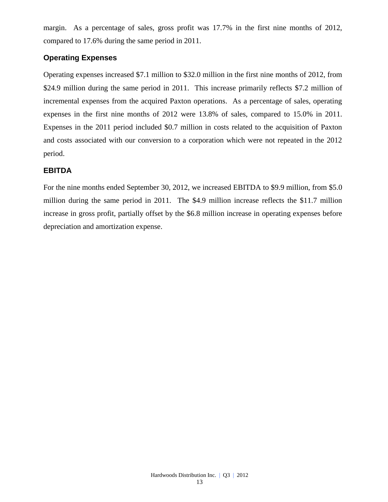margin. As a percentage of sales, gross profit was 17.7% in the first nine months of 2012, compared to 17.6% during the same period in 2011.

### **Operating Expenses**

Operating expenses increased \$7.1 million to \$32.0 million in the first nine months of 2012, from \$24.9 million during the same period in 2011. This increase primarily reflects \$7.2 million of incremental expenses from the acquired Paxton operations. As a percentage of sales, operating expenses in the first nine months of 2012 were 13.8% of sales, compared to 15.0% in 2011. Expenses in the 2011 period included \$0.7 million in costs related to the acquisition of Paxton and costs associated with our conversion to a corporation which were not repeated in the 2012 period.

### **EBITDA**

For the nine months ended September 30, 2012, we increased EBITDA to \$9.9 million, from \$5.0 million during the same period in 2011. The \$4.9 million increase reflects the \$11.7 million increase in gross profit, partially offset by the \$6.8 million increase in operating expenses before depreciation and amortization expense.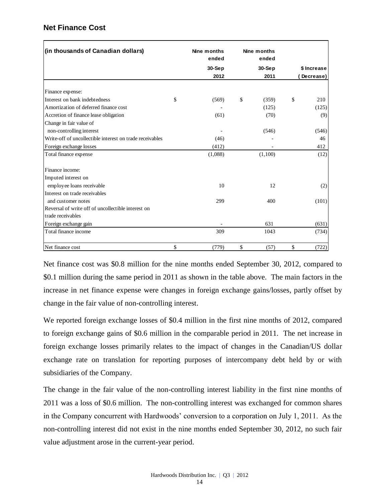### **Net Finance Cost**

| (in thousands of Canadian dollars)                       | Nine months<br>ended | Nine months<br>ended |             |
|----------------------------------------------------------|----------------------|----------------------|-------------|
|                                                          | 30-Sep               | $30-$ Sep            | \$ Increase |
|                                                          | 2012                 | 2011                 | Decrease)   |
| Finance expense:                                         |                      |                      |             |
| Interest on bank indebtedness                            | \$<br>(569)          | \$<br>(359)          | \$<br>210   |
| Amortization of deferred finance cost                    |                      | (125)                | (125)       |
| Accretion of finance lease obligation                    | (61)                 | (70)                 | (9)         |
| Change in fair value of                                  |                      |                      |             |
| non-controlling interest                                 |                      | (546)                | (546)       |
| Write-off of uncollectible interest on trade receivables | (46)                 |                      | 46          |
| Foreign exchange losses                                  | (412)                |                      | 412         |
| Total finance expense                                    | (1,088)              | (1,100)              | (12)        |
| Finance income:                                          |                      |                      |             |
| Imputed interest on                                      |                      |                      |             |
| employee loans receivable                                | 10                   | 12                   | (2)         |
| Interest on trade receivables                            |                      |                      |             |
| and customer notes                                       | 299                  | 400                  | (101)       |
| Reversal of write off of uncollectible interest on       |                      |                      |             |
| trade receivables                                        |                      |                      |             |
| Foreign exchange gain                                    |                      | 631                  | (631)       |
| Total finance income                                     | 309                  | 1043                 | (734)       |
| Net finance cost                                         | \$<br>(779)          | \$<br>(57)           | \$<br>(722) |

Net finance cost was \$0.8 million for the nine months ended September 30, 2012, compared to \$0.1 million during the same period in 2011 as shown in the table above. The main factors in the increase in net finance expense were changes in foreign exchange gains/losses, partly offset by change in the fair value of non-controlling interest.

We reported foreign exchange losses of \$0.4 million in the first nine months of 2012, compared to foreign exchange gains of \$0.6 million in the comparable period in 2011. The net increase in foreign exchange losses primarily relates to the impact of changes in the Canadian/US dollar exchange rate on translation for reporting purposes of intercompany debt held by or with subsidiaries of the Company.

The change in the fair value of the non-controlling interest liability in the first nine months of 2011 was a loss of \$0.6 million. The non-controlling interest was exchanged for common shares in the Company concurrent with Hardwoods' conversion to a corporation on July 1, 2011. As the non-controlling interest did not exist in the nine months ended September 30, 2012, no such fair value adjustment arose in the current-year period.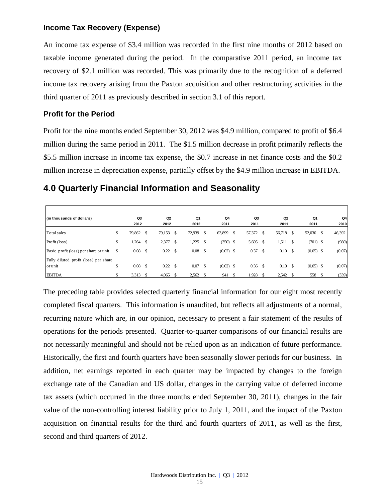### **Income Tax Recovery (Expense)**

An income tax expense of \$3.4 million was recorded in the first nine months of 2012 based on taxable income generated during the period. In the comparative 2011 period, an income tax recovery of \$2.1 million was recorded. This was primarily due to the recognition of a deferred income tax recovery arising from the Paxton acquisition and other restructuring activities in the third quarter of 2011 as previously described in section 3.1 of this report.

### **Profit for the Period**

Profit for the nine months ended September 30, 2012 was \$4.9 million, compared to profit of \$6.4 million during the same period in 2011. The \$1.5 million decrease in profit primarily reflects the \$5.5 million increase in income tax expense, the \$0.7 increase in net finance costs and the \$0.2 million increase in depreciation expense, partially offset by the \$4.9 million increase in EBITDA.

## **4.0 Quarterly Financial Information and Seasonality**

| (in thousands of dollars)                        |               | Q3<br>2012 | Q2<br>2012   |              | Q1<br>2012 |    | Q4<br>2011  |      | Q3<br>2011 |          | Q <sub>2</sub><br>2011 |               | Q1<br>2011  |    | Q4<br>2010 |
|--------------------------------------------------|---------------|------------|--------------|--------------|------------|----|-------------|------|------------|----------|------------------------|---------------|-------------|----|------------|
| Total sales                                      | \$            | 79,862     | \$<br>79,153 | \$           | 72,939     | \$ | 63,899      | - \$ | 57,372 \$  |          | 56,718                 | <sup>\$</sup> | 52,030      | \$ | 46,392     |
| Profit (loss)                                    | \$            | .264       | \$<br>2,377  | \$           | 1,225      | S  | $(350)$ \$  |      | 5,605      | - \$     | 1,511                  |               | $(701)$ \$  |    | (980)      |
| Basic profit (loss) per share or unit            | <sup>\$</sup> | 0.08       | \$<br>0.22   | $\mathbf{s}$ | 0.08       | \$ | $(0.02)$ \$ |      | 0.37       | <b>S</b> | $0.10\,$ \$            |               | $(0.05)$ \$ |    | (0.07)     |
| Fully diluted profit (loss) per share<br>or unit | \$            | 0.08       | \$<br>0.22   | \$           | 0.07       | \$ | $(0.02)$ \$ |      | $0.36$ \$  |          | 0.10                   | -S            | $(0.05)$ \$ |    | (0.07)     |
| <b>EBITDA</b>                                    |               | 3,313      | \$<br>4,065  |              | 2,562      | -8 | 941         |      | 1,928      |          | 2,542                  |               | 558         | S  | (339)      |

The preceding table provides selected quarterly financial information for our eight most recently completed fiscal quarters. This information is unaudited, but reflects all adjustments of a normal, recurring nature which are, in our opinion, necessary to present a fair statement of the results of operations for the periods presented. Quarter-to-quarter comparisons of our financial results are not necessarily meaningful and should not be relied upon as an indication of future performance. Historically, the first and fourth quarters have been seasonally slower periods for our business. In addition, net earnings reported in each quarter may be impacted by changes to the foreign exchange rate of the Canadian and US dollar, changes in the carrying value of deferred income tax assets (which occurred in the three months ended September 30, 2011), changes in the fair value of the non-controlling interest liability prior to July 1, 2011, and the impact of the Paxton acquisition on financial results for the third and fourth quarters of 2011, as well as the first, second and third quarters of 2012.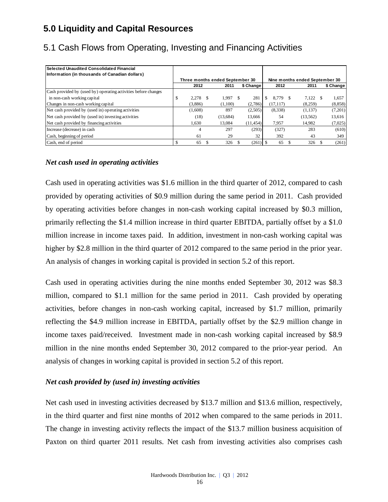# **5.0 Liquidity and Capital Resources**

| Selected Unaudited Consolidated Financial                      |     |         |                                 |            |                                |           |  |           |           |         |
|----------------------------------------------------------------|-----|---------|---------------------------------|------------|--------------------------------|-----------|--|-----------|-----------|---------|
| Information (in thousands of Canadian dollars)                 |     |         |                                 |            |                                |           |  |           |           |         |
|                                                                |     |         | Three months ended September 30 |            | Nine months ended September 30 |           |  |           |           |         |
|                                                                |     | 2012    | 2011                            | \$ Change  |                                | 2012      |  | 2011      | \$ Change |         |
| Cash provided by (used by) operating activities before changes |     |         |                                 |            |                                |           |  |           |           |         |
| in non-cash working capital                                    | \$  | 2.278   | 1.997                           | 281        | \$                             | 8.779 \$  |  | 7.122     |           | 1,657   |
| Changes in non-cash working capital                            |     | (3,886) | (1,100)                         | (2,786)    |                                | (17, 117) |  | (8,259)   |           | (8,858) |
| Net cash provided by (used in) operating activities            |     | (1,608) | 897                             | (2,505)    |                                | (8,338)   |  | (1,137)   |           | (7,201) |
| Net cash provided by (used in) investing activities            |     | (18)    | (13,684)                        | 13.666     |                                | 54        |  | (13, 562) |           | 13,616  |
| Net cash provided by financing activities                      |     | 1.630   | 13.084                          | (11, 454)  |                                | 7.957     |  | 14.982    |           | (7,025) |
| Increase (decrease) in cash                                    |     | 4       | 297                             | (293)      |                                | (327)     |  | 283       |           | (610)   |
| Cash, beginning of period                                      |     | 61      | 29                              | 32         |                                | 392       |  | 43        |           | 349     |
| Cash, end of period                                            | \$. | 65      | 326                             | $(261)$ \$ |                                | 65        |  | 326       |           | (261)   |

# 5.1 Cash Flows from Operating, Investing and Financing Activities

### *Net cash used in operating activities*

Cash used in operating activities was \$1.6 million in the third quarter of 2012, compared to cash provided by operating activities of \$0.9 million during the same period in 2011. Cash provided by operating activities before changes in non-cash working capital increased by \$0.3 million, primarily reflecting the \$1.4 million increase in third quarter EBITDA, partially offset by a \$1.0 million increase in income taxes paid. In addition, investment in non-cash working capital was higher by \$2.8 million in the third quarter of 2012 compared to the same period in the prior year. An analysis of changes in working capital is provided in section 5.2 of this report.

Cash used in operating activities during the nine months ended September 30, 2012 was \$8.3 million, compared to \$1.1 million for the same period in 2011. Cash provided by operating activities, before changes in non-cash working capital, increased by \$1.7 million, primarily reflecting the \$4.9 million increase in EBITDA, partially offset by the \$2.9 million change in income taxes paid/received. Investment made in non-cash working capital increased by \$8.9 million in the nine months ended September 30, 2012 compared to the prior-year period. An analysis of changes in working capital is provided in section 5.2 of this report.

### *Net cash provided by (used in) investing activities*

Net cash used in investing activities decreased by \$13.7 million and \$13.6 million, respectively, in the third quarter and first nine months of 2012 when compared to the same periods in 2011. The change in investing activity reflects the impact of the \$13.7 million business acquisition of Paxton on third quarter 2011 results. Net cash from investing activities also comprises cash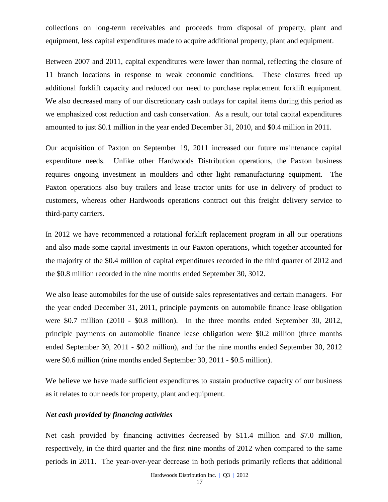collections on long-term receivables and proceeds from disposal of property, plant and equipment, less capital expenditures made to acquire additional property, plant and equipment.

Between 2007 and 2011, capital expenditures were lower than normal, reflecting the closure of 11 branch locations in response to weak economic conditions. These closures freed up additional forklift capacity and reduced our need to purchase replacement forklift equipment. We also decreased many of our discretionary cash outlays for capital items during this period as we emphasized cost reduction and cash conservation. As a result, our total capital expenditures amounted to just \$0.1 million in the year ended December 31, 2010, and \$0.4 million in 2011.

Our acquisition of Paxton on September 19, 2011 increased our future maintenance capital expenditure needs. Unlike other Hardwoods Distribution operations, the Paxton business requires ongoing investment in moulders and other light remanufacturing equipment. The Paxton operations also buy trailers and lease tractor units for use in delivery of product to customers, whereas other Hardwoods operations contract out this freight delivery service to third-party carriers.

In 2012 we have recommenced a rotational forklift replacement program in all our operations and also made some capital investments in our Paxton operations, which together accounted for the majority of the \$0.4 million of capital expenditures recorded in the third quarter of 2012 and the \$0.8 million recorded in the nine months ended September 30, 3012.

We also lease automobiles for the use of outside sales representatives and certain managers. For the year ended December 31, 2011, principle payments on automobile finance lease obligation were \$0.7 million (2010 - \$0.8 million). In the three months ended September 30, 2012, principle payments on automobile finance lease obligation were \$0.2 million (three months ended September 30, 2011 - \$0.2 million), and for the nine months ended September 30, 2012 were \$0.6 million (nine months ended September 30, 2011 - \$0.5 million).

We believe we have made sufficient expenditures to sustain productive capacity of our business as it relates to our needs for property, plant and equipment.

#### *Net cash provided by financing activities*

Net cash provided by financing activities decreased by \$11.4 million and \$7.0 million, respectively, in the third quarter and the first nine months of 2012 when compared to the same periods in 2011. The year-over-year decrease in both periods primarily reflects that additional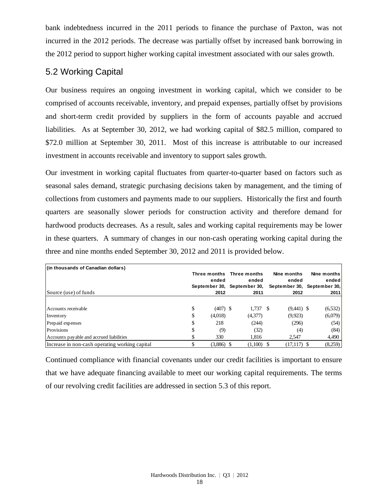bank indebtedness incurred in the 2011 periods to finance the purchase of Paxton, was not incurred in the 2012 periods. The decrease was partially offset by increased bank borrowing in the 2012 period to support higher working capital investment associated with our sales growth.

## 5.2 Working Capital

Our business requires an ongoing investment in working capital, which we consider to be comprised of accounts receivable, inventory, and prepaid expenses, partially offset by provisions and short-term credit provided by suppliers in the form of accounts payable and accrued liabilities. As at September 30, 2012, we had working capital of \$82.5 million, compared to \$72.0 million at September 30, 2011. Most of this increase is attributable to our increased investment in accounts receivable and inventory to support sales growth.

Our investment in working capital fluctuates from quarter-to-quarter based on factors such as seasonal sales demand, strategic purchasing decisions taken by management, and the timing of collections from customers and payments made to our suppliers. Historically the first and fourth quarters are seasonally slower periods for construction activity and therefore demand for hardwood products decreases. As a result, sales and working capital requirements may be lower in these quarters. A summary of changes in our non-cash operating working capital during the three and nine months ended September 30, 2012 and 2011 is provided below.

| (in thousands of Canadian dollars)             |     |               |               |      |                             |             |
|------------------------------------------------|-----|---------------|---------------|------|-----------------------------|-------------|
|                                                |     | Three months  | Three months  |      | Nine months                 | Nine months |
|                                                |     | ended         | ended         |      | ended                       | ended       |
|                                                |     | September 30, | September 30, |      | September 30, September 30, |             |
| Source (use) of funds                          |     | 2012          | 2011          |      | 2012                        | <b>2011</b> |
|                                                |     |               |               |      |                             |             |
| Accounts receivable                            | S   | $(407)$ \$    | 1.737         | - \$ | $(9,441)$ \$                | (6, 532)    |
| Inventory                                      | D   | (4,018)       | (4,377)       |      | (9.923)                     | (6,079)     |
| Prepaid expenses                               | \$. | 218           | (244)         |      | (296)                       | (54)        |
| Provisions                                     |     | (9)           | (32)          |      | (4)                         | (84)        |
| Accounts payable and accrued liabilities       |     | 330           | 1.816         |      | 2.547                       | 4,490       |
| Increase in non-cash operating working capital |     | $(3,886)$ \$  | $(1,100)$ \$  |      | $(17,117)$ \$               | (8,259)     |

Continued compliance with financial covenants under our credit facilities is important to ensure that we have adequate financing available to meet our working capital requirements. The terms of our revolving credit facilities are addressed in section 5.3 of this report.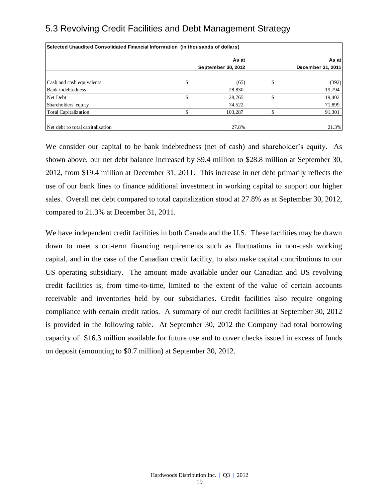# 5.3 Revolving Credit Facilities and Debt Management Strategy

| Selected Unaudited Consolidated Financial Information (in thousands of dollars) |       |                    |    |                   |  |  |  |  |  |  |  |
|---------------------------------------------------------------------------------|-------|--------------------|----|-------------------|--|--|--|--|--|--|--|
|                                                                                 | As at |                    |    |                   |  |  |  |  |  |  |  |
|                                                                                 |       | September 30, 2012 |    | December 31, 2011 |  |  |  |  |  |  |  |
| Cash and cash equivalents                                                       | \$    | (65)               | \$ | (392)             |  |  |  |  |  |  |  |
| <b>Bank</b> indebtedness                                                        |       | 28,830             |    | 19,794            |  |  |  |  |  |  |  |
| Net Debt                                                                        | \$    | 28,765             | .Ъ | 19,402            |  |  |  |  |  |  |  |
| Shareholders' equity                                                            |       | 74,522             |    | 71,899            |  |  |  |  |  |  |  |
| Total Capitalization                                                            |       | 103,287            |    | 91,301            |  |  |  |  |  |  |  |
| Net debt to total capitalization                                                |       | 27.8%              |    | 21.3%             |  |  |  |  |  |  |  |

We consider our capital to be bank indebtedness (net of cash) and shareholder's equity. As shown above, our net debt balance increased by \$9.4 million to \$28.8 million at September 30, 2012, from \$19.4 million at December 31, 2011. This increase in net debt primarily reflects the use of our bank lines to finance additional investment in working capital to support our higher sales. Overall net debt compared to total capitalization stood at 27.8% as at September 30, 2012, compared to 21.3% at December 31, 2011.

We have independent credit facilities in both Canada and the U.S. These facilities may be drawn down to meet short-term financing requirements such as fluctuations in non-cash working capital, and in the case of the Canadian credit facility, to also make capital contributions to our US operating subsidiary. The amount made available under our Canadian and US revolving credit facilities is, from time-to-time, limited to the extent of the value of certain accounts receivable and inventories held by our subsidiaries. Credit facilities also require ongoing compliance with certain credit ratios. A summary of our credit facilities at September 30, 2012 is provided in the following table. At September 30, 2012 the Company had total borrowing capacity of \$16.3 million available for future use and to cover checks issued in excess of funds on deposit (amounting to \$0.7 million) at September 30, 2012.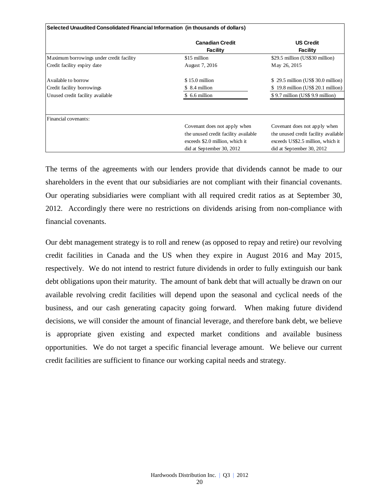| Selected Unaudited Consolidated Financial Information (in thousands of dollars) |                                           |                                      |  |  |  |  |  |  |  |  |  |
|---------------------------------------------------------------------------------|-------------------------------------------|--------------------------------------|--|--|--|--|--|--|--|--|--|
|                                                                                 | <b>Canadian Credit</b><br><b>Facility</b> | <b>US Credit</b><br><b>Facility</b>  |  |  |  |  |  |  |  |  |  |
| Maximum borrowings under credit facility                                        | \$15 million                              | \$29.5 million (US\$30 million)      |  |  |  |  |  |  |  |  |  |
| Credit facility expiry date                                                     | August 7, 2016                            | May 26, 2015                         |  |  |  |  |  |  |  |  |  |
| Available to borrow                                                             | \$15.0 million                            | \$29.5 million (US\$ 30.0 million)   |  |  |  |  |  |  |  |  |  |
| Credit facility borrowings                                                      | \$ 8.4 million                            | \$19.8 million (US\$ 20.1 million)   |  |  |  |  |  |  |  |  |  |
| Unused credit facility available                                                | \$ 6.6 million                            | \$9.7 million (US\$9.9 million)      |  |  |  |  |  |  |  |  |  |
|                                                                                 |                                           |                                      |  |  |  |  |  |  |  |  |  |
| Financial covenants:                                                            |                                           |                                      |  |  |  |  |  |  |  |  |  |
|                                                                                 | Covenant does not apply when              | Covenant does not apply when         |  |  |  |  |  |  |  |  |  |
|                                                                                 | the unused credit facility available      | the unused credit facility available |  |  |  |  |  |  |  |  |  |
|                                                                                 | exceeds \$2.0 million, which it           | exceeds US\$2.5 million, which it    |  |  |  |  |  |  |  |  |  |
|                                                                                 | did at September 30, 2012                 | did at September 30, 2012            |  |  |  |  |  |  |  |  |  |

The terms of the agreements with our lenders provide that dividends cannot be made to our shareholders in the event that our subsidiaries are not compliant with their financial covenants. Our operating subsidiaries were compliant with all required credit ratios as at September 30, 2012. Accordingly there were no restrictions on dividends arising from non-compliance with financial covenants.

Our debt management strategy is to roll and renew (as opposed to repay and retire) our revolving credit facilities in Canada and the US when they expire in August 2016 and May 2015, respectively. We do not intend to restrict future dividends in order to fully extinguish our bank debt obligations upon their maturity. The amount of bank debt that will actually be drawn on our available revolving credit facilities will depend upon the seasonal and cyclical needs of the business, and our cash generating capacity going forward. When making future dividend decisions, we will consider the amount of financial leverage, and therefore bank debt, we believe is appropriate given existing and expected market conditions and available business opportunities. We do not target a specific financial leverage amount. We believe our current credit facilities are sufficient to finance our working capital needs and strategy.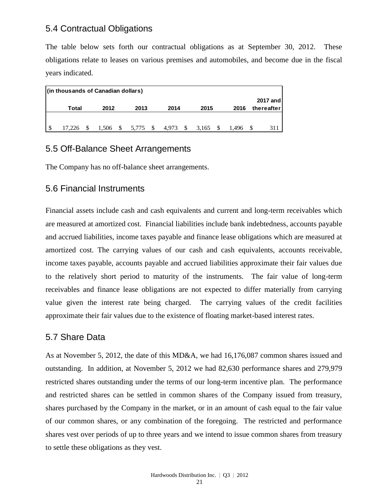## 5.4 Contractual Obligations

The table below sets forth our contractual obligations as at September 30, 2012. These obligations relate to leases on various premises and automobiles, and become due in the fiscal years indicated.

| (in thousands of Canadian dollars) |  |                                     |  |      |  |      |  |      |  |       |  |            |
|------------------------------------|--|-------------------------------------|--|------|--|------|--|------|--|-------|--|------------|
|                                    |  |                                     |  |      |  |      |  |      |  |       |  | 2017 and   |
| Total                              |  | 2012                                |  | 2013 |  | 2014 |  | 2015 |  | 2016  |  | thereafter |
|                                    |  |                                     |  |      |  |      |  |      |  |       |  |            |
| 17.226                             |  | 1,506 \$ 5,775 \$ 4,973 \$ 3,165 \$ |  |      |  |      |  |      |  | 1.496 |  |            |

## 5.5 Off-Balance Sheet Arrangements

The Company has no off-balance sheet arrangements.

## 5.6 Financial Instruments

Financial assets include cash and cash equivalents and current and long-term receivables which are measured at amortized cost. Financial liabilities include bank indebtedness, accounts payable and accrued liabilities, income taxes payable and finance lease obligations which are measured at amortized cost. The carrying values of our cash and cash equivalents, accounts receivable, income taxes payable, accounts payable and accrued liabilities approximate their fair values due to the relatively short period to maturity of the instruments. The fair value of long-term receivables and finance lease obligations are not expected to differ materially from carrying value given the interest rate being charged. The carrying values of the credit facilities approximate their fair values due to the existence of floating market-based interest rates.

# 5.7 Share Data

As at November 5, 2012, the date of this MD&A, we had 16,176,087 common shares issued and outstanding. In addition, at November 5, 2012 we had 82,630 performance shares and 279,979 restricted shares outstanding under the terms of our long-term incentive plan. The performance and restricted shares can be settled in common shares of the Company issued from treasury, shares purchased by the Company in the market, or in an amount of cash equal to the fair value of our common shares, or any combination of the foregoing. The restricted and performance shares vest over periods of up to three years and we intend to issue common shares from treasury to settle these obligations as they vest.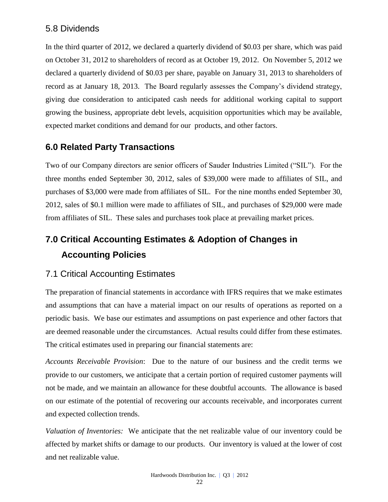## 5.8 Dividends

In the third quarter of 2012, we declared a quarterly dividend of \$0.03 per share, which was paid on October 31, 2012 to shareholders of record as at October 19, 2012. On November 5, 2012 we declared a quarterly dividend of \$0.03 per share, payable on January 31, 2013 to shareholders of record as at January 18, 2013. The Board regularly assesses the Company's dividend strategy, giving due consideration to anticipated cash needs for additional working capital to support growing the business, appropriate debt levels, acquisition opportunities which may be available, expected market conditions and demand for our products, and other factors.

## **6.0 Related Party Transactions**

Two of our Company directors are senior officers of Sauder Industries Limited ("SIL"). For the three months ended September 30, 2012, sales of \$39,000 were made to affiliates of SIL, and purchases of \$3,000 were made from affiliates of SIL. For the nine months ended September 30, 2012, sales of \$0.1 million were made to affiliates of SIL, and purchases of \$29,000 were made from affiliates of SIL. These sales and purchases took place at prevailing market prices.

# **7.0 Critical Accounting Estimates & Adoption of Changes in Accounting Policies**

## 7.1 Critical Accounting Estimates

The preparation of financial statements in accordance with IFRS requires that we make estimates and assumptions that can have a material impact on our results of operations as reported on a periodic basis. We base our estimates and assumptions on past experience and other factors that are deemed reasonable under the circumstances. Actual results could differ from these estimates. The critical estimates used in preparing our financial statements are:

*Accounts Receivable Provision*: Due to the nature of our business and the credit terms we provide to our customers, we anticipate that a certain portion of required customer payments will not be made, and we maintain an allowance for these doubtful accounts. The allowance is based on our estimate of the potential of recovering our accounts receivable, and incorporates current and expected collection trends.

*Valuation of Inventories:* We anticipate that the net realizable value of our inventory could be affected by market shifts or damage to our products. Our inventory is valued at the lower of cost and net realizable value.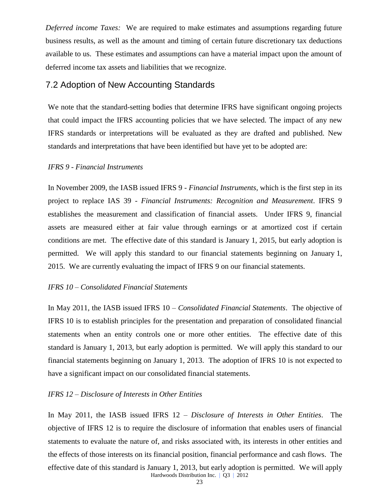*Deferred income Taxes:* We are required to make estimates and assumptions regarding future business results, as well as the amount and timing of certain future discretionary tax deductions available to us. These estimates and assumptions can have a material impact upon the amount of deferred income tax assets and liabilities that we recognize.

## 7.2 Adoption of New Accounting Standards

We note that the standard-setting bodies that determine IFRS have significant ongoing projects that could impact the IFRS accounting policies that we have selected. The impact of any new IFRS standards or interpretations will be evaluated as they are drafted and published. New standards and interpretations that have been identified but have yet to be adopted are:

#### *IFRS 9 - Financial Instruments*

In November 2009, the IASB issued IFRS 9 - *Financial Instruments*, which is the first step in its project to replace IAS 39 - *Financial Instruments: Recognition and Measurement*. IFRS 9 establishes the measurement and classification of financial assets. Under IFRS 9, financial assets are measured either at fair value through earnings or at amortized cost if certain conditions are met. The effective date of this standard is January 1, 2015, but early adoption is permitted. We will apply this standard to our financial statements beginning on January 1, 2015. We are currently evaluating the impact of IFRS 9 on our financial statements.

#### *IFRS 10 – Consolidated Financial Statements*

In May 2011, the IASB issued IFRS 10 – *Consolidated Financial Statements*. The objective of IFRS 10 is to establish principles for the presentation and preparation of consolidated financial statements when an entity controls one or more other entities. The effective date of this standard is January 1, 2013, but early adoption is permitted. We will apply this standard to our financial statements beginning on January 1, 2013. The adoption of IFRS 10 is not expected to have a significant impact on our consolidated financial statements.

#### *IFRS 12 – Disclosure of Interests in Other Entities*

Hardwoods Distribution Inc. | Q3 | 2012 In May 2011, the IASB issued IFRS 12 – *Disclosure of Interests in Other Entities*. The objective of IFRS 12 is to require the disclosure of information that enables users of financial statements to evaluate the nature of, and risks associated with, its interests in other entities and the effects of those interests on its financial position, financial performance and cash flows. The effective date of this standard is January 1, 2013, but early adoption is permitted. We will apply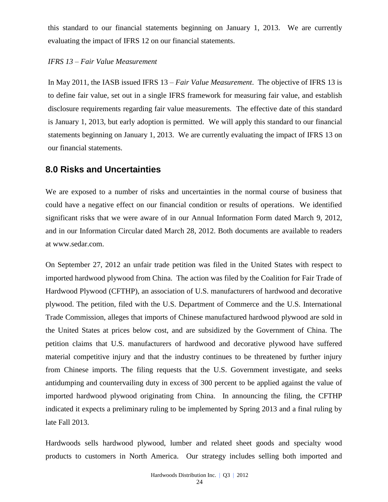this standard to our financial statements beginning on January 1, 2013. We are currently evaluating the impact of IFRS 12 on our financial statements.

#### *IFRS 13 – Fair Value Measurement*

In May 2011, the IASB issued IFRS 13 – *Fair Value Measurement*. The objective of IFRS 13 is to define fair value, set out in a single IFRS framework for measuring fair value, and establish disclosure requirements regarding fair value measurements. The effective date of this standard is January 1, 2013, but early adoption is permitted. We will apply this standard to our financial statements beginning on January 1, 2013. We are currently evaluating the impact of IFRS 13 on our financial statements.

### **8.0 Risks and Uncertainties**

We are exposed to a number of risks and uncertainties in the normal course of business that could have a negative effect on our financial condition or results of operations. We identified significant risks that we were aware of in our Annual Information Form dated March 9, 2012, and in our Information Circular dated March 28, 2012. Both documents are available to readers at [www.sedar.com.](http://www.sedar.com/)

On September 27, 2012 an unfair trade petition was filed in the United States with respect to imported hardwood plywood from China. The action was filed by the Coalition for Fair Trade of Hardwood Plywood (CFTHP), an association of U.S. manufacturers of hardwood and decorative plywood. The petition, filed with the U.S. Department of Commerce and the U.S. International Trade Commission, alleges that imports of Chinese manufactured hardwood plywood are sold in the United States at prices below cost, and are subsidized by the Government of China. The petition claims that U.S. manufacturers of hardwood and decorative plywood have suffered material competitive injury and that the industry continues to be threatened by further injury from Chinese imports. The filing requests that the U.S. Government investigate, and seeks antidumping and countervailing duty in excess of 300 percent to be applied against the value of imported hardwood plywood originating from China. In announcing the filing, the CFTHP indicated it expects a preliminary ruling to be implemented by Spring 2013 and a final ruling by late Fall 2013.

Hardwoods sells hardwood plywood, lumber and related sheet goods and specialty wood products to customers in North America. Our strategy includes selling both imported and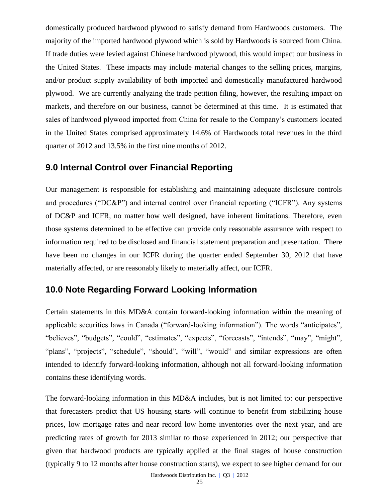domestically produced hardwood plywood to satisfy demand from Hardwoods customers. The majority of the imported hardwood plywood which is sold by Hardwoods is sourced from China. If trade duties were levied against Chinese hardwood plywood, this would impact our business in the United States. These impacts may include material changes to the selling prices, margins, and/or product supply availability of both imported and domestically manufactured hardwood plywood. We are currently analyzing the trade petition filing, however, the resulting impact on markets, and therefore on our business, cannot be determined at this time. It is estimated that sales of hardwood plywood imported from China for resale to the Company's customers located in the United States comprised approximately 14.6% of Hardwoods total revenues in the third quarter of 2012 and 13.5% in the first nine months of 2012.

## **9.0 Internal Control over Financial Reporting**

Our management is responsible for establishing and maintaining adequate disclosure controls and procedures ("DC&P") and internal control over financial reporting ("ICFR"). Any systems of DC&P and ICFR, no matter how well designed, have inherent limitations. Therefore, even those systems determined to be effective can provide only reasonable assurance with respect to information required to be disclosed and financial statement preparation and presentation. There have been no changes in our ICFR during the quarter ended September 30, 2012 that have materially affected, or are reasonably likely to materially affect, our ICFR.

### **10.0 Note Regarding Forward Looking Information**

Certain statements in this MD&A contain forward-looking information within the meaning of applicable securities laws in Canada ("forward-looking information"). The words "anticipates", "believes", "budgets", "could", "estimates", "expects", "forecasts", "intends", "may", "might", "plans", "projects", "schedule", "should", "will", "would" and similar expressions are often intended to identify forward-looking information, although not all forward-looking information contains these identifying words.

The forward-looking information in this MD&A includes, but is not limited to: our perspective that forecasters predict that US housing starts will continue to benefit from stabilizing house prices, low mortgage rates and near record low home inventories over the next year, and are predicting rates of growth for 2013 similar to those experienced in 2012; our perspective that given that hardwood products are typically applied at the final stages of house construction (typically 9 to 12 months after house construction starts), we expect to see higher demand for our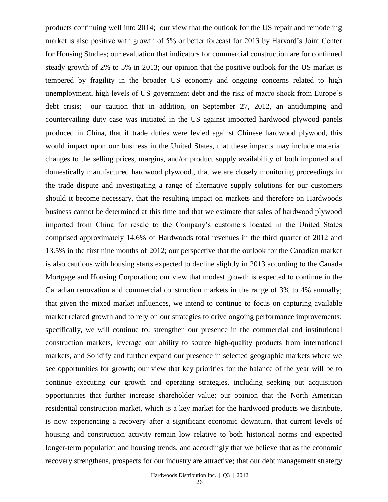products continuing well into 2014; our view that the outlook for the US repair and remodeling market is also positive with growth of 5% or better forecast for 2013 by Harvard's Joint Center for Housing Studies; our evaluation that indicators for commercial construction are for continued steady growth of 2% to 5% in 2013; our opinion that the positive outlook for the US market is tempered by fragility in the broader US economy and ongoing concerns related to high unemployment, high levels of US government debt and the risk of macro shock from Europe's debt crisis; our caution that in addition, on September 27, 2012, an antidumping and countervailing duty case was initiated in the US against imported hardwood plywood panels produced in China, that if trade duties were levied against Chinese hardwood plywood, this would impact upon our business in the United States, that these impacts may include material changes to the selling prices, margins, and/or product supply availability of both imported and domestically manufactured hardwood plywood., that we are closely monitoring proceedings in the trade dispute and investigating a range of alternative supply solutions for our customers should it become necessary, that the resulting impact on markets and therefore on Hardwoods business cannot be determined at this time and that we estimate that sales of hardwood plywood imported from China for resale to the Company's customers located in the United States comprised approximately 14.6% of Hardwoods total revenues in the third quarter of 2012 and 13.5% in the first nine months of 2012; our perspective that the outlook for the Canadian market is also cautious with housing starts expected to decline slightly in 2013 according to the Canada Mortgage and Housing Corporation; our view that modest growth is expected to continue in the Canadian renovation and commercial construction markets in the range of 3% to 4% annually; that given the mixed market influences, we intend to continue to focus on capturing available market related growth and to rely on our strategies to drive ongoing performance improvements; specifically, we will continue to: strengthen our presence in the commercial and institutional construction markets, leverage our ability to source high-quality products from international markets, and Solidify and further expand our presence in selected geographic markets where we see opportunities for growth; our view that key priorities for the balance of the year will be to continue executing our growth and operating strategies, including seeking out acquisition opportunities that further increase shareholder value; our opinion that the North American residential construction market, which is a key market for the hardwood products we distribute, is now experiencing a recovery after a significant economic downturn, that current levels of housing and construction activity remain low relative to both historical norms and expected longer-term population and housing trends, and accordingly that we believe that as the economic recovery strengthens, prospects for our industry are attractive; that our debt management strategy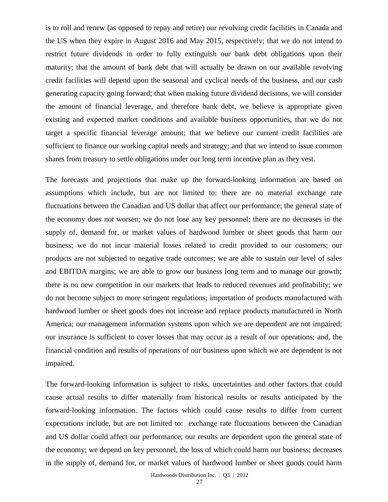is to roll and renew (as opposed to repay and retire) our revolving credit facilities in Canada and the US when they expire in August 2016 and May 2015, respectively; that we do not intend to restrict future dividends in order to fully extinguish our bank debt obligations upon their maturity; that the amount of bank debt that will actually be drawn on our available revolving credit facilities will depend upon the seasonal and cyclical needs of the business, and our cash generating capacity going forward; that when making future dividend decisions, we will consider the amount of financial leverage, and therefore bank debt, we believe is appropriate given existing and expected market conditions and available business opportunities, that we do not target a specific financial leverage amount; that we believe our current credit facilities are sufficient to finance our working capital needs and strategy; and that we intend to issue common shares from treasury to settle obligations under our long term incentive plan as they vest.

The forecasts and projections that make up the forward-looking information are based on assumptions which include, but are not limited to: there are no material exchange rate fluctuations between the Canadian and US dollar that affect our performance; the general state of the economy does not worsen; we do not lose any key personnel; there are no decreases in the supply of, demand for, or market values of hardwood lumber or sheet goods that harm our business; we do not incur material losses related to credit provided to our customers; our products are not subjected to negative trade outcomes; we are able to sustain our level of sales and EBITDA margins; we are able to grow our business long term and to manage our growth; there is no new competition in our markets that leads to reduced revenues and profitability; we do not become subject to more stringent regulations; importation of products manufactured with hardwood lumber or sheet goods does not increase and replace products manufactured in North America; our management information systems upon which we are dependent are not impaired; our insurance is sufficient to cover losses that may occur as a result of our operations; and, the financial condition and results of operations of our business upon which we are dependent is not impaired.

The forward-looking information is subject to risks, uncertainties and other factors that could cause actual results to differ materially from historical results or results anticipated by the forward-looking information. The factors which could cause results to differ from current expectations include, but are not limited to: exchange rate fluctuations between the Canadian and US dollar could affect our performance; our results are dependent upon the general state of the economy; we depend on key personnel, the loss of which could harm our business; decreases in the supply of, demand for, or market values of hardwood lumber or sheet goods could harm